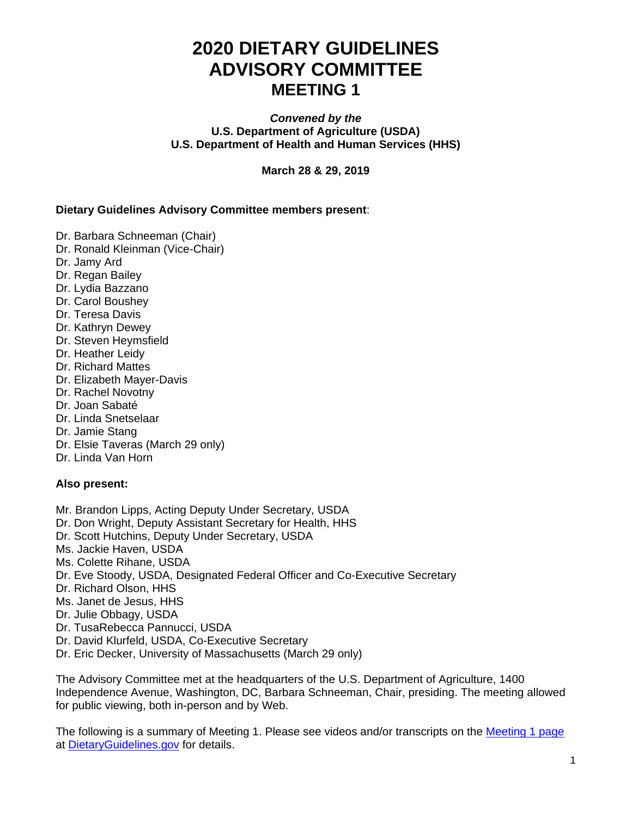# **2020 DIETARY GUIDELINES ADVISORY COMMITTEE MEETING 1**

#### *Convened by the* **U.S. Department of Agriculture (USDA) U.S. Department of Health and Human Services (HHS)**

## **March 28 & 29, 2019**

#### **Dietary Guidelines Advisory Committee members present**:

- Dr. Barbara Schneeman (Chair)
- Dr. Ronald Kleinman (Vice-Chair)
- Dr. Jamy Ard
- Dr. Regan Bailey
- Dr. Lydia Bazzano
- Dr. Carol Boushey
- Dr. Teresa Davis
- Dr. Kathryn Dewey
- Dr. Steven Heymsfield
- Dr. Heather Leidy
- Dr. Richard Mattes
- Dr. Elizabeth Mayer-Davis
- Dr. Rachel Novotny
- Dr. Joan Sabaté
- Dr. Linda Snetselaar
- Dr. Jamie Stang
- Dr. Elsie Taveras (March 29 only)
- Dr. Linda Van Horn

## **Also present:**

- Mr. Brandon Lipps, Acting Deputy Under Secretary, USDA
- Dr. Don Wright, Deputy Assistant Secretary for Health, HHS
- Dr. Scott Hutchins, Deputy Under Secretary, USDA
- Ms. Jackie Haven, USDA
- Ms. Colette Rihane, USDA
- Dr. Eve Stoody, USDA, Designated Federal Officer and Co-Executive Secretary
- Dr. Richard Olson, HHS
- Ms. Janet de Jesus, HHS
- Dr. Julie Obbagy, USDA
- Dr. TusaRebecca Pannucci, USDA
- Dr. David Klurfeld, USDA, Co-Executive Secretary
- Dr. Eric Decker, University of Massachusetts (March 29 only)

The Advisory Committee met at the headquarters of the U.S. Department of Agriculture, 1400 Independence Avenue, Washington, DC, Barbara Schneeman, Chair, presiding. The meeting allowed for public viewing, both in-person and by Web.

The following is a summary of Meeting 1. Please see videos and/or transcripts on the [Meeting 1 page](https://www.dietaryguidelines.gov/dietary-guidelines-advisory-committee-meeting-1) at [DietaryGuidelines.gov](https://www.dietaryguidelines.gov/) for details.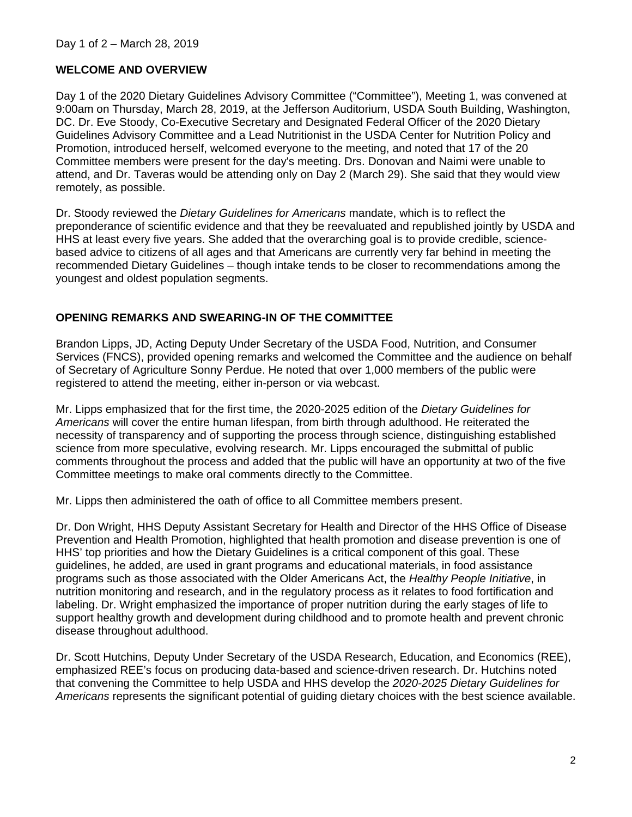## **WELCOME AND OVERVIEW**

Day 1 of the 2020 Dietary Guidelines Advisory Committee ("Committee"), Meeting 1, was convened at 9:00am on Thursday, March 28, 2019, at the Jefferson Auditorium, USDA South Building, Washington, DC. Dr. Eve Stoody, Co-Executive Secretary and Designated Federal Officer of the 2020 Dietary Guidelines Advisory Committee and a Lead Nutritionist in the USDA Center for Nutrition Policy and Promotion, introduced herself, welcomed everyone to the meeting, and noted that 17 of the 20 Committee members were present for the day's meeting. Drs. Donovan and Naimi were unable to attend, and Dr. Taveras would be attending only on Day 2 (March 29). She said that they would view remotely, as possible.

Dr. Stoody reviewed the *Dietary Guidelines for Americans* mandate, which is to reflect the preponderance of scientific evidence and that they be reevaluated and republished jointly by USDA and HHS at least every five years. She added that the overarching goal is to provide credible, sciencebased advice to citizens of all ages and that Americans are currently very far behind in meeting the recommended Dietary Guidelines – though intake tends to be closer to recommendations among the youngest and oldest population segments.

## **OPENING REMARKS AND SWEARING-IN OF THE COMMITTEE**

Brandon Lipps, JD, Acting Deputy Under Secretary of the USDA Food, Nutrition, and Consumer Services (FNCS), provided opening remarks and welcomed the Committee and the audience on behalf of Secretary of Agriculture Sonny Perdue. He noted that over 1,000 members of the public were registered to attend the meeting, either in-person or via webcast.

Mr. Lipps emphasized that for the first time, the 2020-2025 edition of the *Dietary Guidelines for Americans* will cover the entire human lifespan, from birth through adulthood. He reiterated the necessity of transparency and of supporting the process through science, distinguishing established science from more speculative, evolving research. Mr. Lipps encouraged the submittal of public comments throughout the process and added that the public will have an opportunity at two of the five Committee meetings to make oral comments directly to the Committee.

Mr. Lipps then administered the oath of office to all Committee members present.

Dr. Don Wright, HHS Deputy Assistant Secretary for Health and Director of the HHS Office of Disease Prevention and Health Promotion, highlighted that health promotion and disease prevention is one of HHS' top priorities and how the Dietary Guidelines is a critical component of this goal. These guidelines, he added, are used in grant programs and educational materials, in food assistance programs such as those associated with the Older Americans Act, the *Healthy People Initiative*, in nutrition monitoring and research, and in the regulatory process as it relates to food fortification and labeling. Dr. Wright emphasized the importance of proper nutrition during the early stages of life to support healthy growth and development during childhood and to promote health and prevent chronic disease throughout adulthood.

Dr. Scott Hutchins, Deputy Under Secretary of the USDA Research, Education, and Economics (REE), emphasized REE's focus on producing data-based and science-driven research. Dr. Hutchins noted that convening the Committee to help USDA and HHS develop the *2020-2025 Dietary Guidelines for Americans* represents the significant potential of guiding dietary choices with the best science available.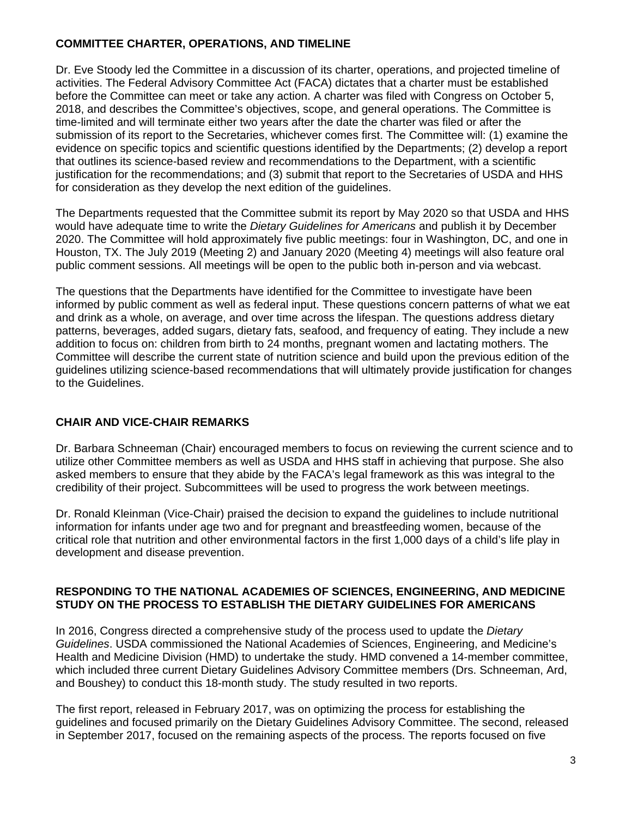## **COMMITTEE CHARTER, OPERATIONS, AND TIMELINE**

Dr. Eve Stoody led the Committee in a discussion of its charter, operations, and projected timeline of activities. The Federal Advisory Committee Act (FACA) dictates that a charter must be established before the Committee can meet or take any action. A charter was filed with Congress on October 5, 2018, and describes the Committee's objectives, scope, and general operations. The Committee is time-limited and will terminate either two years after the date the charter was filed or after the submission of its report to the Secretaries, whichever comes first. The Committee will: (1) examine the evidence on specific topics and scientific questions identified by the Departments; (2) develop a report that outlines its science-based review and recommendations to the Department, with a scientific justification for the recommendations; and (3) submit that report to the Secretaries of USDA and HHS for consideration as they develop the next edition of the guidelines.

The Departments requested that the Committee submit its report by May 2020 so that USDA and HHS would have adequate time to write the *Dietary Guidelines for Americans* and publish it by December 2020. The Committee will hold approximately five public meetings: four in Washington, DC, and one in Houston, TX. The July 2019 (Meeting 2) and January 2020 (Meeting 4) meetings will also feature oral public comment sessions. All meetings will be open to the public both in-person and via webcast.

The questions that the Departments have identified for the Committee to investigate have been informed by public comment as well as federal input. These questions concern patterns of what we eat and drink as a whole, on average, and over time across the lifespan. The questions address dietary patterns, beverages, added sugars, dietary fats, seafood, and frequency of eating. They include a new addition to focus on: children from birth to 24 months, pregnant women and lactating mothers. The Committee will describe the current state of nutrition science and build upon the previous edition of the guidelines utilizing science-based recommendations that will ultimately provide justification for changes to the Guidelines.

## **CHAIR AND VICE-CHAIR REMARKS**

Dr. Barbara Schneeman (Chair) encouraged members to focus on reviewing the current science and to utilize other Committee members as well as USDA and HHS staff in achieving that purpose. She also asked members to ensure that they abide by the FACA's legal framework as this was integral to the credibility of their project. Subcommittees will be used to progress the work between meetings.

Dr. Ronald Kleinman (Vice-Chair) praised the decision to expand the guidelines to include nutritional information for infants under age two and for pregnant and breastfeeding women, because of the critical role that nutrition and other environmental factors in the first 1,000 days of a child's life play in development and disease prevention.

## **RESPONDING TO THE NATIONAL ACADEMIES OF SCIENCES, ENGINEERING, AND MEDICINE STUDY ON THE PROCESS TO ESTABLISH THE DIETARY GUIDELINES FOR AMERICANS**

In 2016, Congress directed a comprehensive study of the process used to update the *Dietary Guidelines*. USDA commissioned the National Academies of Sciences, Engineering, and Medicine's Health and Medicine Division (HMD) to undertake the study. HMD convened a 14-member committee, which included three current Dietary Guidelines Advisory Committee members (Drs. Schneeman, Ard, and Boushey) to conduct this 18-month study. The study resulted in two reports.

The first report, released in February 2017, was on optimizing the process for establishing the guidelines and focused primarily on the Dietary Guidelines Advisory Committee. The second, released in September 2017, focused on the remaining aspects of the process. The reports focused on five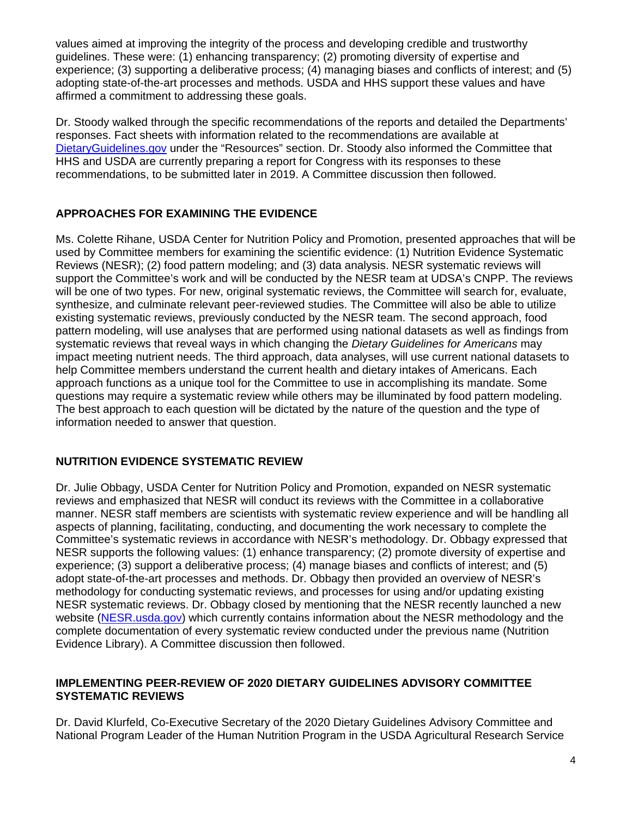values aimed at improving the integrity of the process and developing credible and trustworthy guidelines. These were: (1) enhancing transparency; (2) promoting diversity of expertise and experience; (3) supporting a deliberative process; (4) managing biases and conflicts of interest; and (5) adopting state-of-the-art processes and methods. USDA and HHS support these values and have affirmed a commitment to addressing these goals.

Dr. Stoody walked through the specific recommendations of the reports and detailed the Departments' responses. Fact sheets with information related to the recommendations are available at [DietaryGuidelines.gov](https://www.dietaryguidelines.gov/) under the "Resources" section. Dr. Stoody also informed the Committee that HHS and USDA are currently preparing a report for Congress with its responses to these recommendations, to be submitted later in 2019. A Committee discussion then followed.

# **APPROACHES FOR EXAMINING THE EVIDENCE**

Ms. Colette Rihane, USDA Center for Nutrition Policy and Promotion, presented approaches that will be used by Committee members for examining the scientific evidence: (1) Nutrition Evidence Systematic Reviews (NESR); (2) food pattern modeling; and (3) data analysis. NESR systematic reviews will support the Committee's work and will be conducted by the NESR team at UDSA's CNPP. The reviews will be one of two types. For new, original systematic reviews, the Committee will search for, evaluate, synthesize, and culminate relevant peer-reviewed studies. The Committee will also be able to utilize existing systematic reviews, previously conducted by the NESR team. The second approach, food pattern modeling, will use analyses that are performed using national datasets as well as findings from systematic reviews that reveal ways in which changing the *Dietary Guidelines for Americans* may impact meeting nutrient needs. The third approach, data analyses, will use current national datasets to help Committee members understand the current health and dietary intakes of Americans. Each approach functions as a unique tool for the Committee to use in accomplishing its mandate. Some questions may require a systematic review while others may be illuminated by food pattern modeling. The best approach to each question will be dictated by the nature of the question and the type of information needed to answer that question.

## **NUTRITION EVIDENCE SYSTEMATIC REVIEW**

Dr. Julie Obbagy, USDA Center for Nutrition Policy and Promotion, expanded on NESR systematic reviews and emphasized that NESR will conduct its reviews with the Committee in a collaborative manner. NESR staff members are scientists with systematic review experience and will be handling all aspects of planning, facilitating, conducting, and documenting the work necessary to complete the Committee's systematic reviews in accordance with NESR's methodology. Dr. Obbagy expressed that NESR supports the following values: (1) enhance transparency; (2) promote diversity of expertise and experience; (3) support a deliberative process; (4) manage biases and conflicts of interest; and (5) adopt state-of-the-art processes and methods. Dr. Obbagy then provided an overview of NESR's methodology for conducting systematic reviews, and processes for using and/or updating existing NESR systematic reviews. Dr. Obbagy closed by mentioning that the NESR recently launched a new website [\(NESR.usda.gov\)](https://nesr.usda.gov/) which currently contains information about the NESR methodology and the complete documentation of every systematic review conducted under the previous name (Nutrition Evidence Library). A Committee discussion then followed.

## **IMPLEMENTING PEER-REVIEW OF 2020 DIETARY GUIDELINES ADVISORY COMMITTEE SYSTEMATIC REVIEWS**

Dr. David Klurfeld, Co-Executive Secretary of the 2020 Dietary Guidelines Advisory Committee and National Program Leader of the Human Nutrition Program in the USDA Agricultural Research Service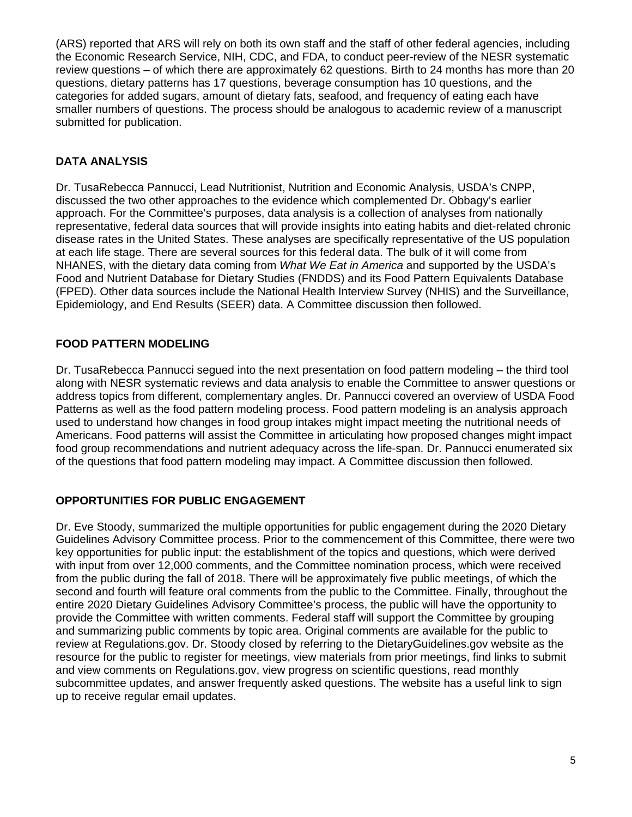(ARS) reported that ARS will rely on both its own staff and the staff of other federal agencies, including the Economic Research Service, NIH, CDC, and FDA, to conduct peer-review of the NESR systematic review questions – of which there are approximately 62 questions. Birth to 24 months has more than 20 questions, dietary patterns has 17 questions, beverage consumption has 10 questions, and the categories for added sugars, amount of dietary fats, seafood, and frequency of eating each have smaller numbers of questions. The process should be analogous to academic review of a manuscript submitted for publication.

# **DATA ANALYSIS**

Dr. TusaRebecca Pannucci, Lead Nutritionist, Nutrition and Economic Analysis, USDA's CNPP, discussed the two other approaches to the evidence which complemented Dr. Obbagy's earlier approach. For the Committee's purposes, data analysis is a collection of analyses from nationally representative, federal data sources that will provide insights into eating habits and diet-related chronic disease rates in the United States. These analyses are specifically representative of the US population at each life stage. There are several sources for this federal data. The bulk of it will come from NHANES, with the dietary data coming from *What We Eat in America* and supported by the USDA's Food and Nutrient Database for Dietary Studies (FNDDS) and its Food Pattern Equivalents Database (FPED). Other data sources include the National Health Interview Survey (NHIS) and the Surveillance, Epidemiology, and End Results (SEER) data. A Committee discussion then followed.

## **FOOD PATTERN MODELING**

Dr. TusaRebecca Pannucci segued into the next presentation on food pattern modeling – the third tool along with NESR systematic reviews and data analysis to enable the Committee to answer questions or address topics from different, complementary angles. Dr. Pannucci covered an overview of USDA Food Patterns as well as the food pattern modeling process. Food pattern modeling is an analysis approach used to understand how changes in food group intakes might impact meeting the nutritional needs of Americans. Food patterns will assist the Committee in articulating how proposed changes might impact food group recommendations and nutrient adequacy across the life-span. Dr. Pannucci enumerated six of the questions that food pattern modeling may impact. A Committee discussion then followed.

## **OPPORTUNITIES FOR PUBLIC ENGAGEMENT**

Dr. Eve Stoody, summarized the multiple opportunities for public engagement during the 2020 Dietary Guidelines Advisory Committee process. Prior to the commencement of this Committee, there were two key opportunities for public input: the establishment of the topics and questions, which were derived with input from over 12,000 comments, and the Committee nomination process, which were received from the public during the fall of 2018. There will be approximately five public meetings, of which the second and fourth will feature oral comments from the public to the Committee. Finally, throughout the entire 2020 Dietary Guidelines Advisory Committee's process, the public will have the opportunity to provide the Committee with written comments. Federal staff will support the Committee by grouping and summarizing public comments by topic area. Original comments are available for the public to review at Regulations.gov. Dr. Stoody closed by referring to the DietaryGuidelines.gov website as the resource for the public to register for meetings, view materials from prior meetings, find links to submit and view comments on Regulations.gov, view progress on scientific questions, read monthly subcommittee updates, and answer frequently asked questions. The website has a useful link to sign up to receive regular email updates.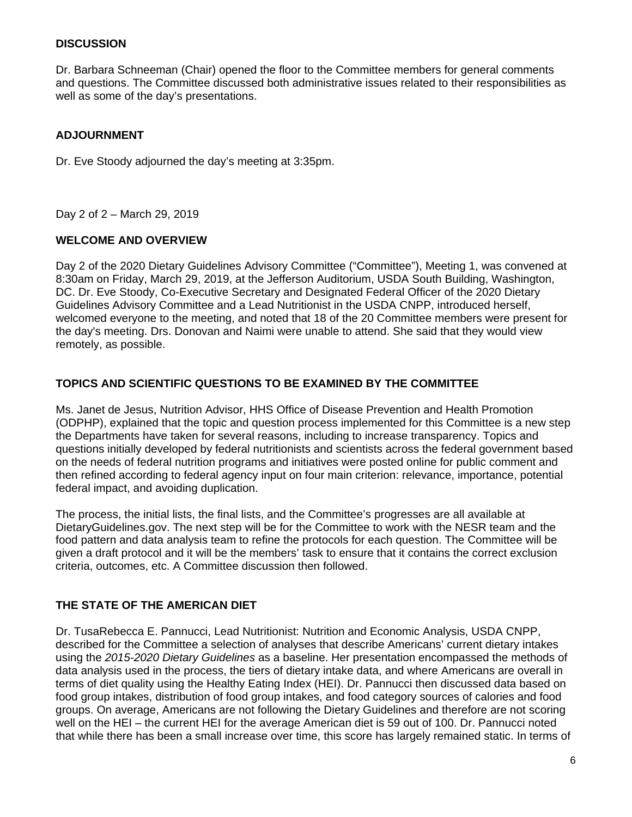## **DISCUSSION**

Dr. Barbara Schneeman (Chair) opened the floor to the Committee members for general comments and questions. The Committee discussed both administrative issues related to their responsibilities as well as some of the day's presentations.

## **ADJOURNMENT**

Dr. Eve Stoody adjourned the day's meeting at 3:35pm.

Day 2 of 2 – March 29, 2019

#### **WELCOME AND OVERVIEW**

Day 2 of the 2020 Dietary Guidelines Advisory Committee ("Committee"), Meeting 1, was convened at 8:30am on Friday, March 29, 2019, at the Jefferson Auditorium, USDA South Building, Washington, DC. Dr. Eve Stoody, Co-Executive Secretary and Designated Federal Officer of the 2020 Dietary Guidelines Advisory Committee and a Lead Nutritionist in the USDA CNPP, introduced herself, welcomed everyone to the meeting, and noted that 18 of the 20 Committee members were present for the day's meeting. Drs. Donovan and Naimi were unable to attend. She said that they would view remotely, as possible.

## **TOPICS AND SCIENTIFIC QUESTIONS TO BE EXAMINED BY THE COMMITTEE**

Ms. Janet de Jesus, Nutrition Advisor, HHS Office of Disease Prevention and Health Promotion (ODPHP), explained that the topic and question process implemented for this Committee is a new step the Departments have taken for several reasons, including to increase transparency. Topics and questions initially developed by federal nutritionists and scientists across the federal government based on the needs of federal nutrition programs and initiatives were posted online for public comment and then refined according to federal agency input on four main criterion: relevance, importance, potential federal impact, and avoiding duplication.

The process, the initial lists, the final lists, and the Committee's progresses are all available at DietaryGuidelines.gov. The next step will be for the Committee to work with the NESR team and the food pattern and data analysis team to refine the protocols for each question. The Committee will be given a draft protocol and it will be the members' task to ensure that it contains the correct exclusion criteria, outcomes, etc. A Committee discussion then followed.

## **THE STATE OF THE AMERICAN DIET**

Dr. TusaRebecca E. Pannucci, Lead Nutritionist: Nutrition and Economic Analysis, USDA CNPP, described for the Committee a selection of analyses that describe Americans' current dietary intakes using the *2015-2020 Dietary Guidelines* as a baseline. Her presentation encompassed the methods of data analysis used in the process, the tiers of dietary intake data, and where Americans are overall in terms of diet quality using the Healthy Eating Index (HEI). Dr. Pannucci then discussed data based on food group intakes, distribution of food group intakes, and food category sources of calories and food groups. On average, Americans are not following the Dietary Guidelines and therefore are not scoring well on the HEI – the current HEI for the average American diet is 59 out of 100. Dr. Pannucci noted that while there has been a small increase over time, this score has largely remained static. In terms of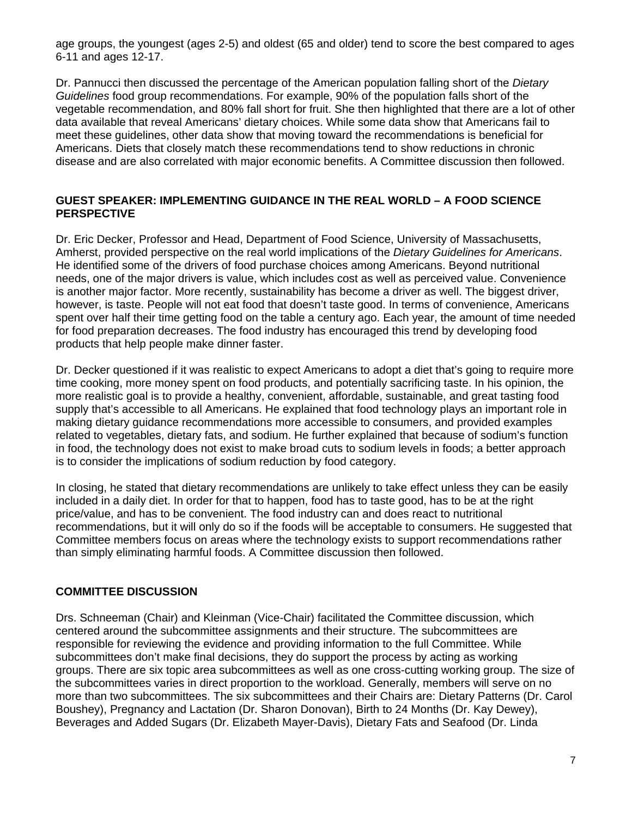age groups, the youngest (ages 2-5) and oldest (65 and older) tend to score the best compared to ages 6-11 and ages 12-17.

Dr. Pannucci then discussed the percentage of the American population falling short of the *Dietary Guidelines* food group recommendations. For example, 90% of the population falls short of the vegetable recommendation, and 80% fall short for fruit. She then highlighted that there are a lot of other data available that reveal Americans' dietary choices. While some data show that Americans fail to meet these guidelines, other data show that moving toward the recommendations is beneficial for Americans. Diets that closely match these recommendations tend to show reductions in chronic disease and are also correlated with major economic benefits. A Committee discussion then followed.

## **GUEST SPEAKER: IMPLEMENTING GUIDANCE IN THE REAL WORLD – A FOOD SCIENCE PERSPECTIVE**

Dr. Eric Decker, Professor and Head, Department of Food Science, University of Massachusetts, Amherst, provided perspective on the real world implications of the *Dietary Guidelines for Americans*. He identified some of the drivers of food purchase choices among Americans. Beyond nutritional needs, one of the major drivers is value, which includes cost as well as perceived value. Convenience is another major factor. More recently, sustainability has become a driver as well. The biggest driver, however, is taste. People will not eat food that doesn't taste good. In terms of convenience, Americans spent over half their time getting food on the table a century ago. Each year, the amount of time needed for food preparation decreases. The food industry has encouraged this trend by developing food products that help people make dinner faster.

Dr. Decker questioned if it was realistic to expect Americans to adopt a diet that's going to require more time cooking, more money spent on food products, and potentially sacrificing taste. In his opinion, the more realistic goal is to provide a healthy, convenient, affordable, sustainable, and great tasting food supply that's accessible to all Americans. He explained that food technology plays an important role in making dietary guidance recommendations more accessible to consumers, and provided examples related to vegetables, dietary fats, and sodium. He further explained that because of sodium's function in food, the technology does not exist to make broad cuts to sodium levels in foods; a better approach is to consider the implications of sodium reduction by food category.

In closing, he stated that dietary recommendations are unlikely to take effect unless they can be easily included in a daily diet. In order for that to happen, food has to taste good, has to be at the right price/value, and has to be convenient. The food industry can and does react to nutritional recommendations, but it will only do so if the foods will be acceptable to consumers. He suggested that Committee members focus on areas where the technology exists to support recommendations rather than simply eliminating harmful foods. A Committee discussion then followed.

## **COMMITTEE DISCUSSION**

Drs. Schneeman (Chair) and Kleinman (Vice-Chair) facilitated the Committee discussion, which centered around the subcommittee assignments and their structure. The subcommittees are responsible for reviewing the evidence and providing information to the full Committee. While subcommittees don't make final decisions, they do support the process by acting as working groups. There are six topic area subcommittees as well as one cross-cutting working group. The size of the subcommittees varies in direct proportion to the workload. Generally, members will serve on no more than two subcommittees. The six subcommittees and their Chairs are: Dietary Patterns (Dr. Carol Boushey), Pregnancy and Lactation (Dr. Sharon Donovan), Birth to 24 Months (Dr. Kay Dewey), Beverages and Added Sugars (Dr. Elizabeth Mayer-Davis), Dietary Fats and Seafood (Dr. Linda